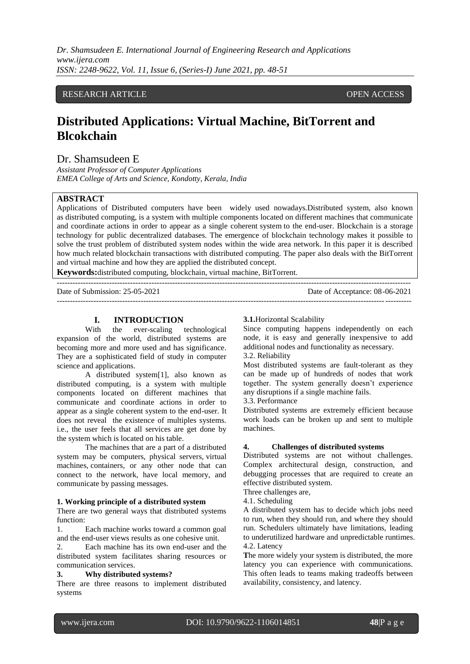*Dr. Shamsudeen E. International Journal of Engineering Research and Applications www.ijera.com ISSN: 2248-9622, Vol. 11, Issue 6, (Series-I) June 2021, pp. 48-51*

# RESEARCH ARTICLE **OPEN ACCESS**

# **Distributed Applications: Virtual Machine, BitTorrent and Blcokchain**

# Dr. Shamsudeen E

*Assistant Professor of Computer Applications EMEA College of Arts and Science, Kondotty, Kerala, India*

#### **ABSTRACT**

Applications of Distributed computers have been widely used nowadays.Distributed system, also known as distributed computing, is a system with multiple components located on different machines that communicate and coordinate actions in order to appear as a single coherent system to the end-user. Blockchain is a storage technology for public decentralized databases. The emergence of blockchain technology makes it possible to solve the trust problem of distributed system nodes within the wide area network. In this paper it is described how much related blockchain transactions with distributed computing. The paper also deals with the BitTorrent and virtual machine and how they are applied the distributed concept.

---------------------------------------------------------------------------------------------------------------------------------------

**Keywords:**distributed computing, blockchain, virtual machine, BitTorrent.

Date of Submission: 25-05-2021 Date of Acceptance: 08-06-2021

---------------------------------------------------------------------------------------------------------------------------------------

# **I. INTRODUCTION**

With the ever-scaling technological expansion of the world, distributed systems are becoming more and more used and has significance. They are a sophisticated field of study in computer science and applications.

A distributed system[1], also known as distributed computing, is a system with multiple components located on different machines that communicate and coordinate actions in order to appear as a single coherent system to the end-user. It does not reveal the existence of multiples systems. i.e., the user feels that all services are get done by the system which is located on his table.

The machines that are a part of a distributed system may be computers, physical servers, [virtual](https://blog.stackpath.com/virtual-machine/)  [machines,](https://blog.stackpath.com/virtual-machine/) [containers,](https://blog.stackpath.com/containers/) or any other node that can connect to the network, have local memory, and communicate by passing messages.

#### **1. Working principle of a distributed system**

There are two general ways that distributed systems function:

1. Each machine works toward a common goal and the end-user views results as one cohesive unit.

2. Each machine has its own end-user and the distributed system facilitates sharing resources or communication services.

### **3. Why distributed systems?**

There are three reasons to implement distributed systems

#### **3.1.**Horizontal Scalability

Since computing happens independently on each node, it is easy and generally inexpensive to add additional nodes and functionality as necessary. 3.2. Reliability

Most distributed systems are fault-tolerant as they can be made up of hundreds of nodes that work together. The system generally doesn't experience any disruptions if a single machine fails.

3.3. Performance

Distributed systems are extremely efficient because work loads can be broken up and sent to multiple machines.

#### **4. Challenges of distributed systems**

Distributed systems are not without challenges. Complex architectural design, construction, and debugging processes that are required to create an effective distributed system.

Three challenges are,

4.1. Scheduling

A distributed system has to decide which jobs need to run, when they should run, and where they should run. Schedulers ultimately have limitations, leading to underutilized hardware and unpredictable [runtimes.](https://blog.stackpath.com/runtime/) 4.2. Latency

The more widely your system is distributed, the more latency you can experience with communications. This often leads to teams making tradeoffs between availability, consistency, and latency.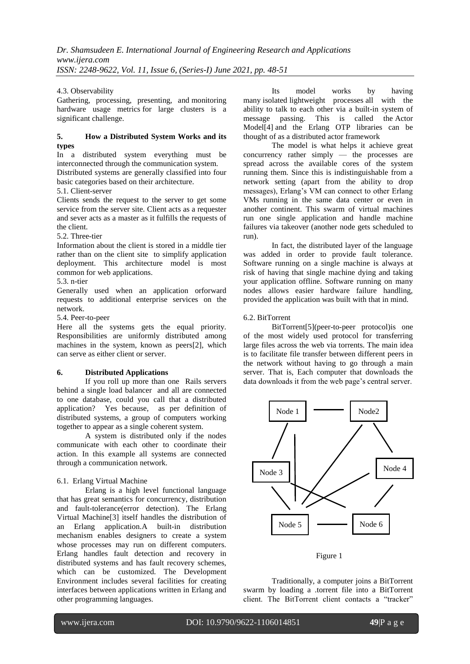## 4.3. Observability

Gathering, processing, presenting, and [monitoring](https://www.stackpath.com/products/monitoring/)  [hardware usage metrics](https://www.stackpath.com/products/monitoring/) for large clusters is a significant challenge.

## **5. How a Distributed System Works and its types**

In a distributed system everything must be interconnected through the communication system. Distributed systems are generally classified into four basic categories based on their architecture.

5.1. Client-server

Clients sends the request to the server to get some service from the server site. Client acts as a requester and sever acts as a master as it fulfills the requests of the client.

5.2. Three-tier

Information about the client is stored in a middle tier rather than on the client site to simplify application deployment. This architecture model is most common for [web applications.](https://blog.stackpath.com/web-application/)

5.3. n-tier

Generally used when an application orforward requests to additional enterprise services on the network.

5.4. Peer-to-peer

Here all the systems gets the equal priority. Responsibilities are uniformly distributed among machines in the system, known as peers[2], which can serve as either client or server.

## **6. Distributed Applications**

If you roll up more than one Rails servers behind a single load balancer and all are connected to one database, could you call that a distributed application? Yes because, as per definition of distributed systems, a group of computers working together to appear as a single coherent system.

A system is distributed only if the nodes communicate with each other to coordinate their action. In this example all systems are connected through a communication network.

#### 6.1. Erlang Virtual Machine

Erlang is a high level functional language that has great semantics for concurrency, distribution and fault-tolerance(error detection). The Erlang Virtual Machine[3] itself handles the distribution of an Erlang application.A built-in distribution mechanism enables designers to create a system whose processes may run on different computers. Erlang handles fault detection and recovery in distributed systems and has fault recovery schemes, which can be customized. The Development Environment includes several facilities for creating interfaces between applications written in Erlang and other programming languages.

Its model works by having many isolated [lightweight processes](https://en.wikipedia.org/wiki/Light-weight_process) all with the ability to talk to each other via a built-in system of message passing. This is called the [Actor](http://berb.github.io/diploma-thesis/original/054_actors.html)  [Model\[](http://berb.github.io/diploma-thesis/original/054_actors.html)4] and the Erlang OTP libraries can be thought of as a distributed actor framework

The model is what helps it achieve great concurrency rather simply — the processes are spread across the available cores of the system running them. Since this is indistinguishable from a network setting (apart from the ability to drop messages), Erlang's VM can connect to other Erlang VMs running in the same data center or even in another continent. This swarm of virtual machines run one single application and handle machine failures via takeover (another node gets scheduled to run).

In fact, the distributed layer of the language was added in order to provide fault tolerance. Software running on a single machine is always at risk of having that single machine dying and taking your application offline. Software running on many nodes allows easier hardware failure handling. provided the application was built with that in mind.

## 6.2. BitTorrent

BitTorrent[5](peer-to-peer protocol)is one of the most widely used protocol for transferring large files across the web via torrents. The main idea is to facilitate file transfer between different peers in the network without having to go through a main server. That is, Each computer that downloads the data downloads it from the web page's central server.



Figure 1

Traditionally, a computer joins a BitTorrent swarm by loading a .torrent file into a BitTorrent client. The BitTorrent client contacts a "tracker"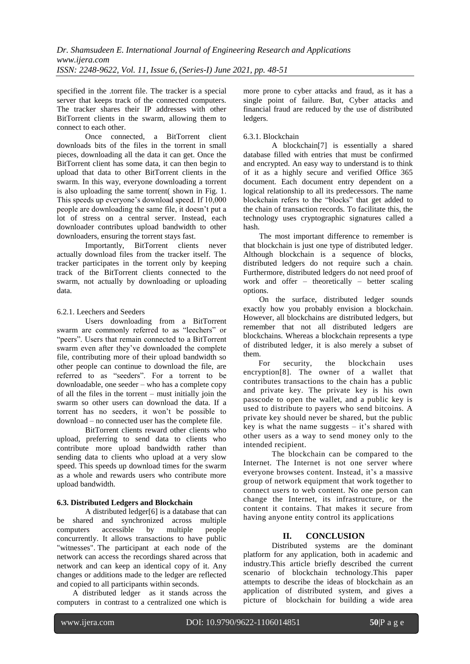specified in the .torrent file. The tracker is a special server that keeps track of the connected computers. The tracker shares their IP addresses with other BitTorrent clients in the swarm, allowing them to connect to each other.

Once connected, a BitTorrent client downloads bits of the files in the torrent in small pieces, downloading all the data it can get. Once the BitTorrent client has some data, it can then begin to upload that data to other BitTorrent clients in the swarm. In this way, everyone downloading a torrent is also uploading the same torrent( shown in Fig. 1. This speeds up everyone's download speed. If 10,000 people are downloading the same file, it doesn't put a lot of stress on a central server. Instead, each downloader contributes upload bandwidth to other downloaders, ensuring the torrent stays fast.

Importantly, BitTorrent clients never actually download files from the tracker itself. The tracker participates in the torrent only by keeping track of the BitTorrent clients connected to the swarm, not actually by downloading or uploading data.

## 6.2.1. Leechers and Seeders

Users downloading from a BitTorrent swarm are commonly referred to as "leechers" or "peers". Users that remain connected to a BitTorrent swarm even after they've downloaded the complete file, contributing more of their upload bandwidth so other people can continue to download the file, are referred to as "seeders". For a torrent to be downloadable, one seeder – who has a complete copy of all the files in the torrent – must initially join the swarm so other users can download the data. If a torrent has no seeders, it won't be possible to download – no connected user has the complete file.

BitTorrent clients reward other clients who upload, preferring to send data to clients who contribute more upload bandwidth rather than sending data to clients who upload at a very slow speed. This speeds up download times for the swarm as a whole and rewards users who contribute more upload bandwidth.

# **6.3. Distributed Ledgers and Blockchain**

A distributed ledger[6] is a database that can be shared and synchronized across multiple computers accessible by multiple people concurrently. It allows transactions to have public "witnesses". The participant at each node of the network can access the recordings shared across that network and can keep an identical copy of it. Any changes or additions made to the ledger are reflected and copied to all participants within seconds.

A distributed ledger as it stands across the computers in contrast to a centralized one which is more prone to cyber attacks and fraud, as it has a single point of failure. But, Cyber attacks and financial fraud are reduced by the use of distributed ledgers.

## 6.3.1. Blockchain

A blockchain[7] is essentially a shared database filled with entries that must be confirmed and encrypted. An easy way to understand is to think of it as a highly secure and verified Office 365 document. Each document entry dependent on a logical relationship to all its predecessors. The name blockchain refers to the "blocks" that get added to the chain of transaction records. To facilitate this, the technology uses cryptographic signatures called a hash.

The most important difference to remember is that blockchain is just one type of distributed ledger. Although blockchain is a sequence of blocks, distributed ledgers do not require such a chain. Furthermore, distributed ledgers do not need proof of work and offer – theoretically – better scaling options.

On the surface, distributed ledger sounds exactly how you probably envision a blockchain. However, all blockchains are distributed ledgers, but remember that not all distributed ledgers are blockchains. Whereas a blockchain represents a type of distributed ledger, it is also merely a subset of them.

For security, the blockchain uses encryption[8]. The owner of a wallet that contributes transactions to the chain has a public and private key. The private key is his own passcode to open the wallet, and a public key is used to distribute to payers who send bitcoins. A private key should never be shared, but the public key is what the name suggests  $-$  it's shared with other users as a way to send money only to the intended recipient.

The blockchain can be compared to the Internet. The Internet is not one server where everyone browses content. Instead, it's a massive group of network equipment that work together to connect users to web content. No one person can change the Internet, its infrastructure, or the content it contains. That makes it secure from having anyone entity control its applications

# **II. CONCLUSION**

Distributed systems are the dominant platform for any application, both in academic and industry.This article briefly described the current scenario of blockchain technology.This paper attempts to describe the ideas of blockchain as an application of distributed system, and gives a picture of blockchain for building a wide area